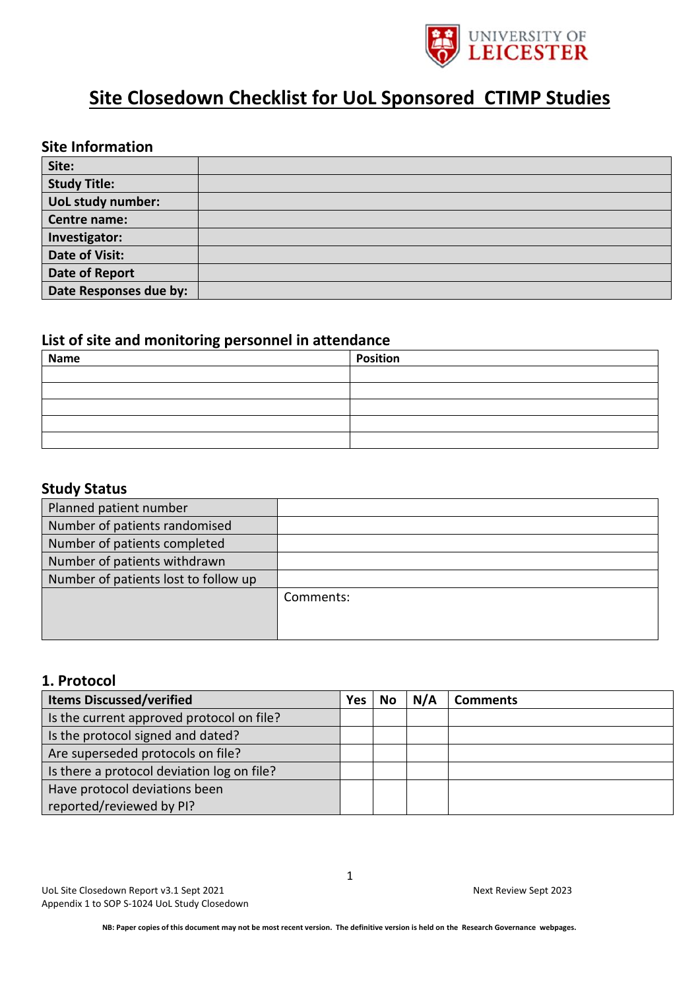

# **Site Closedown Checklist for UoL Sponsored CTIMP Studies**

#### **Site Information**

| Site:                  |  |
|------------------------|--|
| <b>Study Title:</b>    |  |
| UoL study number:      |  |
| Centre name:           |  |
| Investigator:          |  |
| <b>Date of Visit:</b>  |  |
| Date of Report         |  |
| Date Responses due by: |  |

#### **List of site and monitoring personnel in attendance**

| <b>Name</b> | <b>Position</b> |  |  |  |  |
|-------------|-----------------|--|--|--|--|
|             |                 |  |  |  |  |
|             |                 |  |  |  |  |
|             |                 |  |  |  |  |
|             |                 |  |  |  |  |
|             |                 |  |  |  |  |

#### **Study Status**

| Planned patient number               |           |
|--------------------------------------|-----------|
| Number of patients randomised        |           |
| Number of patients completed         |           |
| Number of patients withdrawn         |           |
| Number of patients lost to follow up |           |
|                                      | Comments: |
|                                      |           |
|                                      |           |

#### **1. Protocol**

| <b>Items Discussed/verified</b>            | <b>Yes</b> | No | N/A | <b>Comments</b> |
|--------------------------------------------|------------|----|-----|-----------------|
| Is the current approved protocol on file?  |            |    |     |                 |
| Is the protocol signed and dated?          |            |    |     |                 |
| Are superseded protocols on file?          |            |    |     |                 |
| Is there a protocol deviation log on file? |            |    |     |                 |
| Have protocol deviations been              |            |    |     |                 |
| reported/reviewed by PI?                   |            |    |     |                 |

UoL Site Closedown Report v3.1 Sept 2021 Next Review Sept 2023 Appendix 1 to SOP S-1024 UoL Study Closedown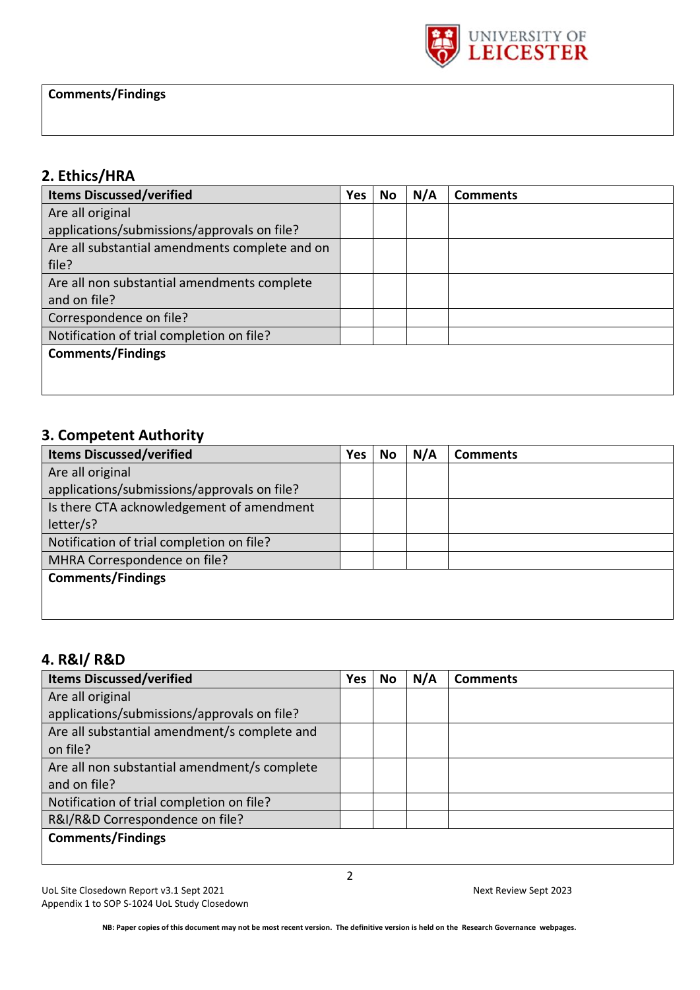

### **2. Ethics/HRA**

| <b>Items Discussed/verified</b>                | <b>Yes</b> | No | N/A | <b>Comments</b> |
|------------------------------------------------|------------|----|-----|-----------------|
| Are all original                               |            |    |     |                 |
| applications/submissions/approvals on file?    |            |    |     |                 |
| Are all substantial amendments complete and on |            |    |     |                 |
| file?                                          |            |    |     |                 |
| Are all non substantial amendments complete    |            |    |     |                 |
| and on file?                                   |            |    |     |                 |
| Correspondence on file?                        |            |    |     |                 |
| Notification of trial completion on file?      |            |    |     |                 |
| <b>Comments/Findings</b>                       |            |    |     |                 |
|                                                |            |    |     |                 |
|                                                |            |    |     |                 |

### **3. Competent Authority**

| <b>Items Discussed/verified</b>             | <b>Yes</b> | No | N/A | <b>Comments</b> |
|---------------------------------------------|------------|----|-----|-----------------|
| Are all original                            |            |    |     |                 |
| applications/submissions/approvals on file? |            |    |     |                 |
| Is there CTA acknowledgement of amendment   |            |    |     |                 |
| letter/s?                                   |            |    |     |                 |
| Notification of trial completion on file?   |            |    |     |                 |
| MHRA Correspondence on file?                |            |    |     |                 |
| <b>Comments/Findings</b>                    |            |    |     |                 |
|                                             |            |    |     |                 |
|                                             |            |    |     |                 |

### **4. R&I/ R&D**

| <b>Items Discussed/verified</b>              | <b>Yes</b> | No | N/A | <b>Comments</b> |
|----------------------------------------------|------------|----|-----|-----------------|
| Are all original                             |            |    |     |                 |
| applications/submissions/approvals on file?  |            |    |     |                 |
| Are all substantial amendment/s complete and |            |    |     |                 |
| on file?                                     |            |    |     |                 |
| Are all non substantial amendment/s complete |            |    |     |                 |
| and on file?                                 |            |    |     |                 |
| Notification of trial completion on file?    |            |    |     |                 |
| R&I/R&D Correspondence on file?              |            |    |     |                 |
| <b>Comments/Findings</b>                     |            |    |     |                 |
|                                              |            |    |     |                 |

UoL Site Closedown Report v3.1 Sept 2021 Next Review Sept 2023 Appendix 1 to SOP S-1024 UoL Study Closedown

2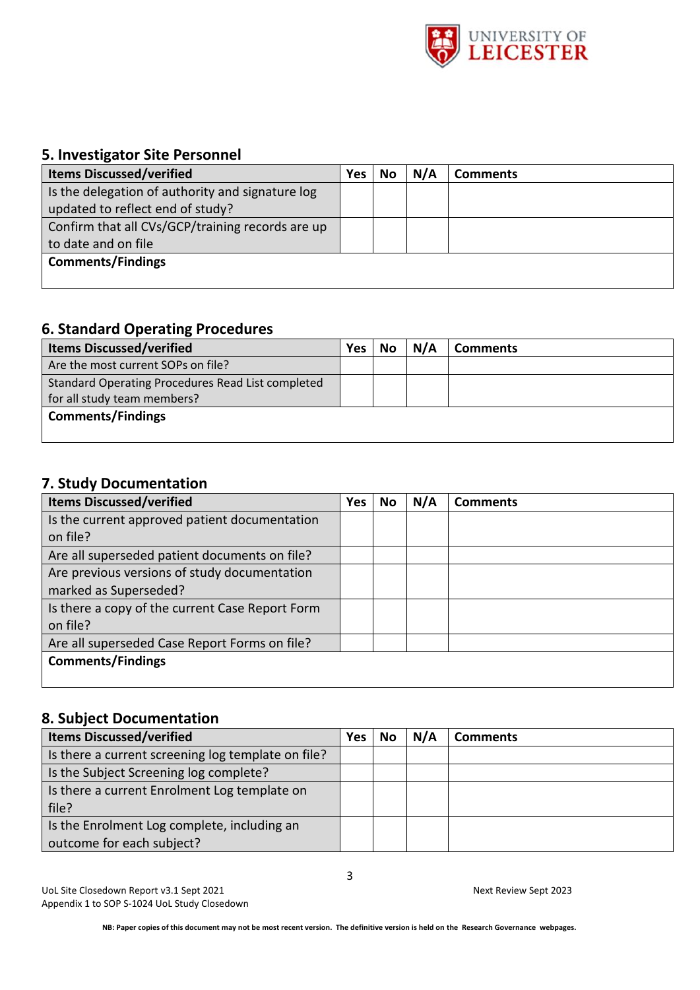

### **5. Investigator Site Personnel**

| <b>Items Discussed/verified</b>                  | Yes | No | N/A | <b>Comments</b> |
|--------------------------------------------------|-----|----|-----|-----------------|
| Is the delegation of authority and signature log |     |    |     |                 |
| updated to reflect end of study?                 |     |    |     |                 |
| Confirm that all CVs/GCP/training records are up |     |    |     |                 |
| to date and on file                              |     |    |     |                 |
| <b>Comments/Findings</b>                         |     |    |     |                 |
|                                                  |     |    |     |                 |

#### **6. Standard Operating Procedures**

| <b>Items Discussed/verified</b>                                                         | Yes: | No | N/A | <b>Comments</b> |
|-----------------------------------------------------------------------------------------|------|----|-----|-----------------|
| Are the most current SOPs on file?                                                      |      |    |     |                 |
| <b>Standard Operating Procedures Read List completed</b><br>for all study team members? |      |    |     |                 |
| <b>Comments/Findings</b>                                                                |      |    |     |                 |

### **7. Study Documentation**

| <b>Items Discussed/verified</b>                 | <b>Yes</b> | No | N/A | <b>Comments</b> |
|-------------------------------------------------|------------|----|-----|-----------------|
| Is the current approved patient documentation   |            |    |     |                 |
| on file?                                        |            |    |     |                 |
| Are all superseded patient documents on file?   |            |    |     |                 |
| Are previous versions of study documentation    |            |    |     |                 |
| marked as Superseded?                           |            |    |     |                 |
| Is there a copy of the current Case Report Form |            |    |     |                 |
| on file?                                        |            |    |     |                 |
| Are all superseded Case Report Forms on file?   |            |    |     |                 |
| <b>Comments/Findings</b>                        |            |    |     |                 |
|                                                 |            |    |     |                 |

### **8. Subject Documentation**

| <b>Items Discussed/verified</b>                    | Yes | No | N/A | <b>Comments</b> |
|----------------------------------------------------|-----|----|-----|-----------------|
| Is there a current screening log template on file? |     |    |     |                 |
| Is the Subject Screening log complete?             |     |    |     |                 |
| Is there a current Enrolment Log template on       |     |    |     |                 |
| file?                                              |     |    |     |                 |
| Is the Enrolment Log complete, including an        |     |    |     |                 |
| outcome for each subject?                          |     |    |     |                 |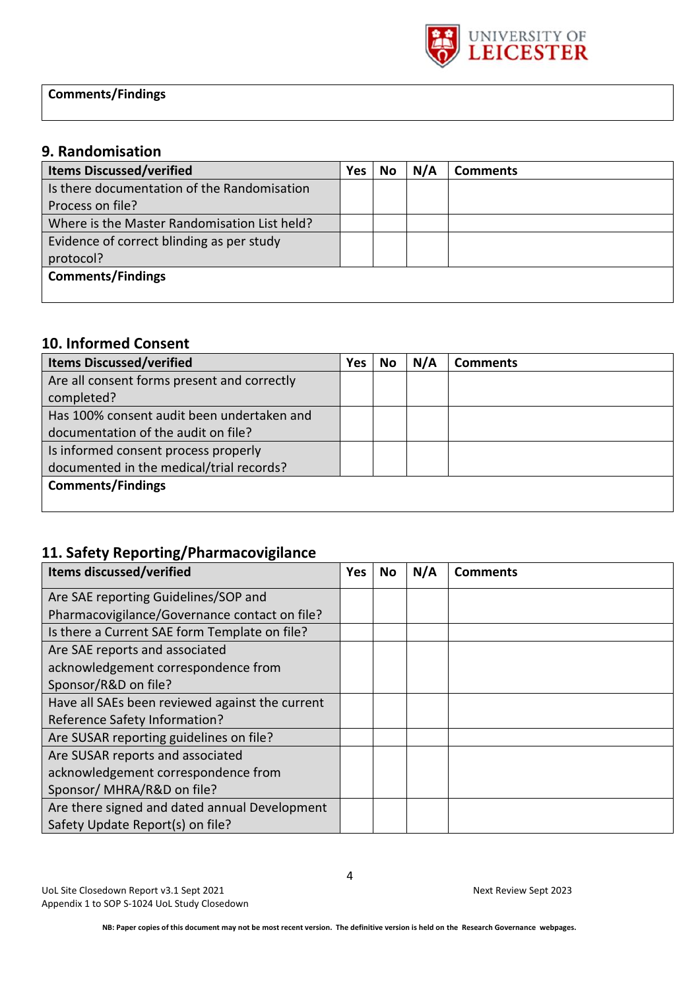

**Comments/Findings**

### **9. Randomisation**

| <b>Items Discussed/verified</b>              | Yes | No | N/A | <b>Comments</b> |
|----------------------------------------------|-----|----|-----|-----------------|
| Is there documentation of the Randomisation  |     |    |     |                 |
| Process on file?                             |     |    |     |                 |
| Where is the Master Randomisation List held? |     |    |     |                 |
| Evidence of correct blinding as per study    |     |    |     |                 |
| protocol?                                    |     |    |     |                 |
| <b>Comments/Findings</b>                     |     |    |     |                 |
|                                              |     |    |     |                 |

### **10. Informed Consent**

| <b>Items Discussed/verified</b>             | Yes | No | N/A | <b>Comments</b> |
|---------------------------------------------|-----|----|-----|-----------------|
| Are all consent forms present and correctly |     |    |     |                 |
| completed?                                  |     |    |     |                 |
| Has 100% consent audit been undertaken and  |     |    |     |                 |
| documentation of the audit on file?         |     |    |     |                 |
| Is informed consent process properly        |     |    |     |                 |
| documented in the medical/trial records?    |     |    |     |                 |
| <b>Comments/Findings</b>                    |     |    |     |                 |
|                                             |     |    |     |                 |

### **11. Safety Reporting/Pharmacovigilance**

| <b>Items discussed/verified</b>                 | Yes | No | N/A | <b>Comments</b> |
|-------------------------------------------------|-----|----|-----|-----------------|
| Are SAE reporting Guidelines/SOP and            |     |    |     |                 |
| Pharmacovigilance/Governance contact on file?   |     |    |     |                 |
| Is there a Current SAE form Template on file?   |     |    |     |                 |
| Are SAE reports and associated                  |     |    |     |                 |
| acknowledgement correspondence from             |     |    |     |                 |
| Sponsor/R&D on file?                            |     |    |     |                 |
| Have all SAEs been reviewed against the current |     |    |     |                 |
| Reference Safety Information?                   |     |    |     |                 |
| Are SUSAR reporting guidelines on file?         |     |    |     |                 |
| Are SUSAR reports and associated                |     |    |     |                 |
| acknowledgement correspondence from             |     |    |     |                 |
| Sponsor/ MHRA/R&D on file?                      |     |    |     |                 |
| Are there signed and dated annual Development   |     |    |     |                 |
| Safety Update Report(s) on file?                |     |    |     |                 |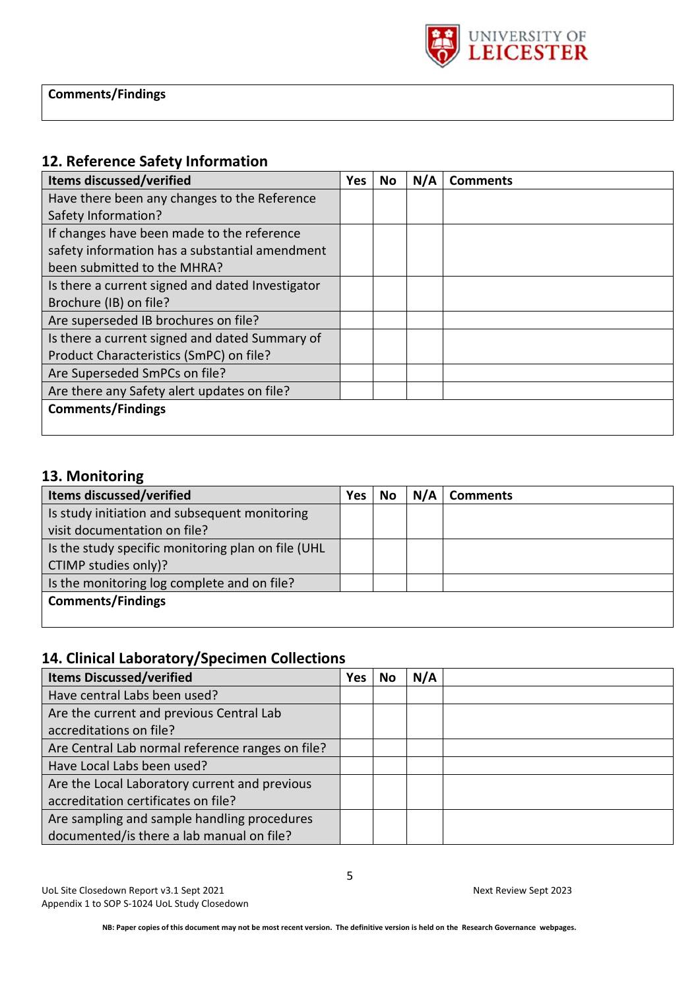

#### **12. Reference Safety Information**

| <b>Items discussed/verified</b>                  | <b>Yes</b> | No | N/A | <b>Comments</b> |
|--------------------------------------------------|------------|----|-----|-----------------|
| Have there been any changes to the Reference     |            |    |     |                 |
| Safety Information?                              |            |    |     |                 |
| If changes have been made to the reference       |            |    |     |                 |
| safety information has a substantial amendment   |            |    |     |                 |
| been submitted to the MHRA?                      |            |    |     |                 |
| Is there a current signed and dated Investigator |            |    |     |                 |
| Brochure (IB) on file?                           |            |    |     |                 |
| Are superseded IB brochures on file?             |            |    |     |                 |
| Is there a current signed and dated Summary of   |            |    |     |                 |
| Product Characteristics (SmPC) on file?          |            |    |     |                 |
| Are Superseded SmPCs on file?                    |            |    |     |                 |
| Are there any Safety alert updates on file?      |            |    |     |                 |
| <b>Comments/Findings</b>                         |            |    |     |                 |
|                                                  |            |    |     |                 |

### **13. Monitoring**

| <b>Items discussed/verified</b>                    | Yes | No | N/A | <b>Comments</b> |
|----------------------------------------------------|-----|----|-----|-----------------|
| Is study initiation and subsequent monitoring      |     |    |     |                 |
| visit documentation on file?                       |     |    |     |                 |
| Is the study specific monitoring plan on file (UHL |     |    |     |                 |
| CTIMP studies only)?                               |     |    |     |                 |
| Is the monitoring log complete and on file?        |     |    |     |                 |
| <b>Comments/Findings</b>                           |     |    |     |                 |
|                                                    |     |    |     |                 |

### **14. Clinical Laboratory/Specimen Collections**

| <b>Items Discussed/verified</b>                  | <b>Yes</b> | No | N/A |  |
|--------------------------------------------------|------------|----|-----|--|
| Have central Labs been used?                     |            |    |     |  |
| Are the current and previous Central Lab         |            |    |     |  |
| accreditations on file?                          |            |    |     |  |
| Are Central Lab normal reference ranges on file? |            |    |     |  |
| Have Local Labs been used?                       |            |    |     |  |
| Are the Local Laboratory current and previous    |            |    |     |  |
| accreditation certificates on file?              |            |    |     |  |
| Are sampling and sample handling procedures      |            |    |     |  |
| documented/is there a lab manual on file?        |            |    |     |  |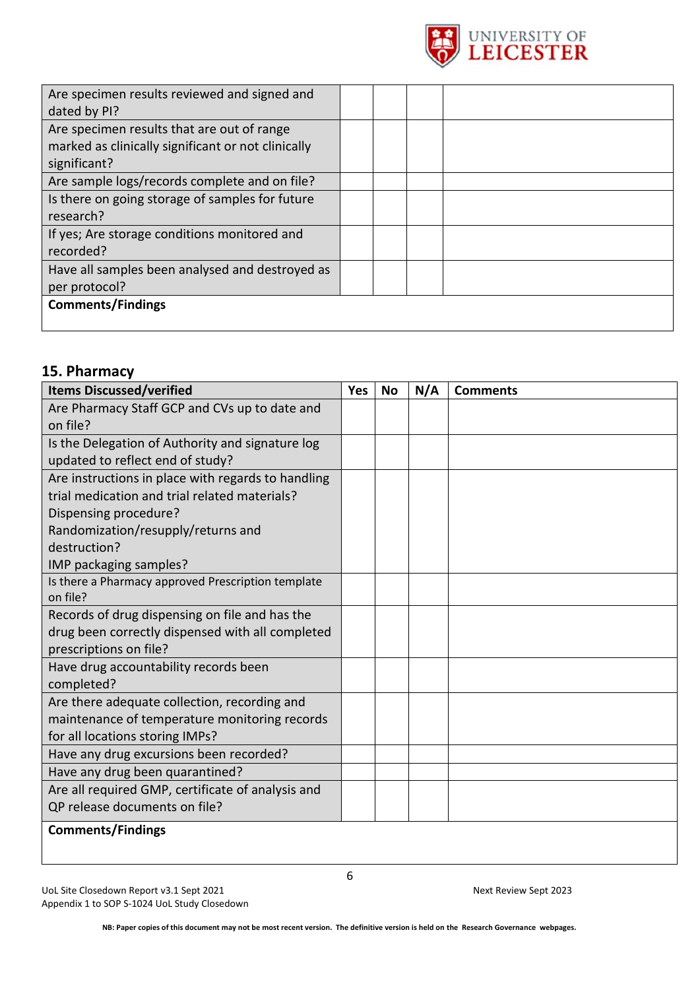

| Are specimen results reviewed and signed and<br>dated by PI?                                                     |  |  |
|------------------------------------------------------------------------------------------------------------------|--|--|
| Are specimen results that are out of range<br>marked as clinically significant or not clinically<br>significant? |  |  |
| Are sample logs/records complete and on file?                                                                    |  |  |
| Is there on going storage of samples for future<br>research?                                                     |  |  |
| If yes; Are storage conditions monitored and<br>recorded?                                                        |  |  |
| Have all samples been analysed and destroyed as<br>per protocol?                                                 |  |  |
| <b>Comments/Findings</b>                                                                                         |  |  |

### **15. Pharmacy**

| <b>Items Discussed/verified</b>                    | <b>Yes</b> | <b>No</b> | N/A | <b>Comments</b> |
|----------------------------------------------------|------------|-----------|-----|-----------------|
| Are Pharmacy Staff GCP and CVs up to date and      |            |           |     |                 |
| on file?                                           |            |           |     |                 |
| Is the Delegation of Authority and signature log   |            |           |     |                 |
| updated to reflect end of study?                   |            |           |     |                 |
| Are instructions in place with regards to handling |            |           |     |                 |
| trial medication and trial related materials?      |            |           |     |                 |
| Dispensing procedure?                              |            |           |     |                 |
| Randomization/resupply/returns and                 |            |           |     |                 |
| destruction?                                       |            |           |     |                 |
| IMP packaging samples?                             |            |           |     |                 |
| Is there a Pharmacy approved Prescription template |            |           |     |                 |
| on file?                                           |            |           |     |                 |
| Records of drug dispensing on file and has the     |            |           |     |                 |
| drug been correctly dispensed with all completed   |            |           |     |                 |
| prescriptions on file?                             |            |           |     |                 |
| Have drug accountability records been              |            |           |     |                 |
| completed?                                         |            |           |     |                 |
| Are there adequate collection, recording and       |            |           |     |                 |
| maintenance of temperature monitoring records      |            |           |     |                 |
| for all locations storing IMPs?                    |            |           |     |                 |
| Have any drug excursions been recorded?            |            |           |     |                 |
| Have any drug been quarantined?                    |            |           |     |                 |
| Are all required GMP, certificate of analysis and  |            |           |     |                 |
| QP release documents on file?                      |            |           |     |                 |
| <b>Comments/Findings</b>                           |            |           |     |                 |

UoL Site Closedown Report v3.1 Sept 2021 Mexicose Sept 2023 Appendix 1 to SOP S-1024 UoL Study Closedown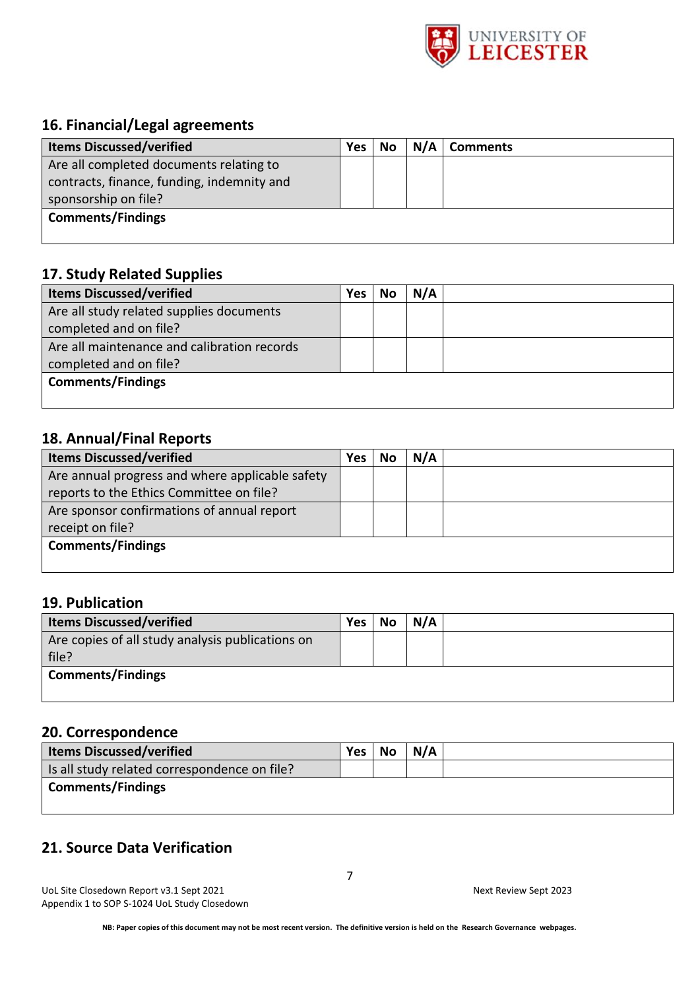

### **16. Financial/Legal agreements**

| <b>Items Discussed/verified</b>            | <b>Yes</b> | No | N/A | <b>Comments</b> |
|--------------------------------------------|------------|----|-----|-----------------|
| Are all completed documents relating to    |            |    |     |                 |
| contracts, finance, funding, indemnity and |            |    |     |                 |
| sponsorship on file?                       |            |    |     |                 |
| <b>Comments/Findings</b>                   |            |    |     |                 |
|                                            |            |    |     |                 |

#### **17. Study Related Supplies**

| <b>Items Discussed/verified</b>             | <b>Yes</b> | No | N/A |  |
|---------------------------------------------|------------|----|-----|--|
| Are all study related supplies documents    |            |    |     |  |
| completed and on file?                      |            |    |     |  |
| Are all maintenance and calibration records |            |    |     |  |
| completed and on file?                      |            |    |     |  |
| <b>Comments/Findings</b>                    |            |    |     |  |
|                                             |            |    |     |  |

# **18. Annual/Final Reports**

| <b>Items Discussed/verified</b>                 | Yes | No | N/A |  |
|-------------------------------------------------|-----|----|-----|--|
| Are annual progress and where applicable safety |     |    |     |  |
| reports to the Ethics Committee on file?        |     |    |     |  |
| Are sponsor confirmations of annual report      |     |    |     |  |
| receipt on file?                                |     |    |     |  |
| <b>Comments/Findings</b>                        |     |    |     |  |
|                                                 |     |    |     |  |

#### **19. Publication**

| <b>Items Discussed/verified</b>                  | Yes | <b>No</b> | N/A |
|--------------------------------------------------|-----|-----------|-----|
| Are copies of all study analysis publications on |     |           |     |
| file?                                            |     |           |     |
| <b>Comments/Findings</b>                         |     |           |     |
|                                                  |     |           |     |

### **20. Correspondence**

| <b>Items Discussed/verified</b>              | Yes No | N/A |  |
|----------------------------------------------|--------|-----|--|
| Is all study related correspondence on file? |        |     |  |
| Comments/Findings                            |        |     |  |
|                                              |        |     |  |

### **21. Source Data Verification**

UoL Site Closedown Report v3.1 Sept 2021 Next Review Sept 2023 Appendix 1 to SOP S-1024 UoL Study Closedown

7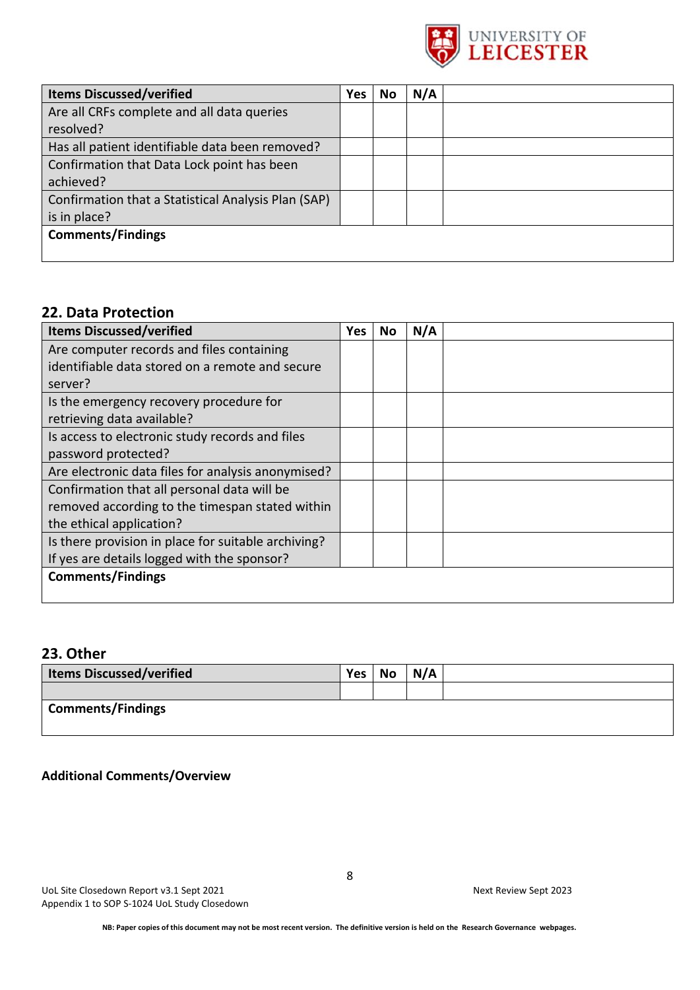

| <b>Items Discussed/verified</b>                     | <b>Yes</b> | No | N/A |  |
|-----------------------------------------------------|------------|----|-----|--|
| Are all CRFs complete and all data queries          |            |    |     |  |
| resolved?                                           |            |    |     |  |
| Has all patient identifiable data been removed?     |            |    |     |  |
| Confirmation that Data Lock point has been          |            |    |     |  |
| achieved?                                           |            |    |     |  |
| Confirmation that a Statistical Analysis Plan (SAP) |            |    |     |  |
| is in place?                                        |            |    |     |  |
| <b>Comments/Findings</b>                            |            |    |     |  |
|                                                     |            |    |     |  |

#### **22. Data Protection**

| <b>Items Discussed/verified</b>                     | Yes. | No | N/A |  |
|-----------------------------------------------------|------|----|-----|--|
| Are computer records and files containing           |      |    |     |  |
| identifiable data stored on a remote and secure     |      |    |     |  |
| server?                                             |      |    |     |  |
| Is the emergency recovery procedure for             |      |    |     |  |
| retrieving data available?                          |      |    |     |  |
| Is access to electronic study records and files     |      |    |     |  |
| password protected?                                 |      |    |     |  |
| Are electronic data files for analysis anonymised?  |      |    |     |  |
| Confirmation that all personal data will be         |      |    |     |  |
| removed according to the timespan stated within     |      |    |     |  |
| the ethical application?                            |      |    |     |  |
| Is there provision in place for suitable archiving? |      |    |     |  |
| If yes are details logged with the sponsor?         |      |    |     |  |
| <b>Comments/Findings</b>                            |      |    |     |  |
|                                                     |      |    |     |  |

### **23. Other**

| <b>Items Discussed/verified</b> | Yes No | N/A |  |
|---------------------------------|--------|-----|--|
|                                 |        |     |  |
| <b>Comments/Findings</b>        |        |     |  |

#### **Additional Comments/Overview**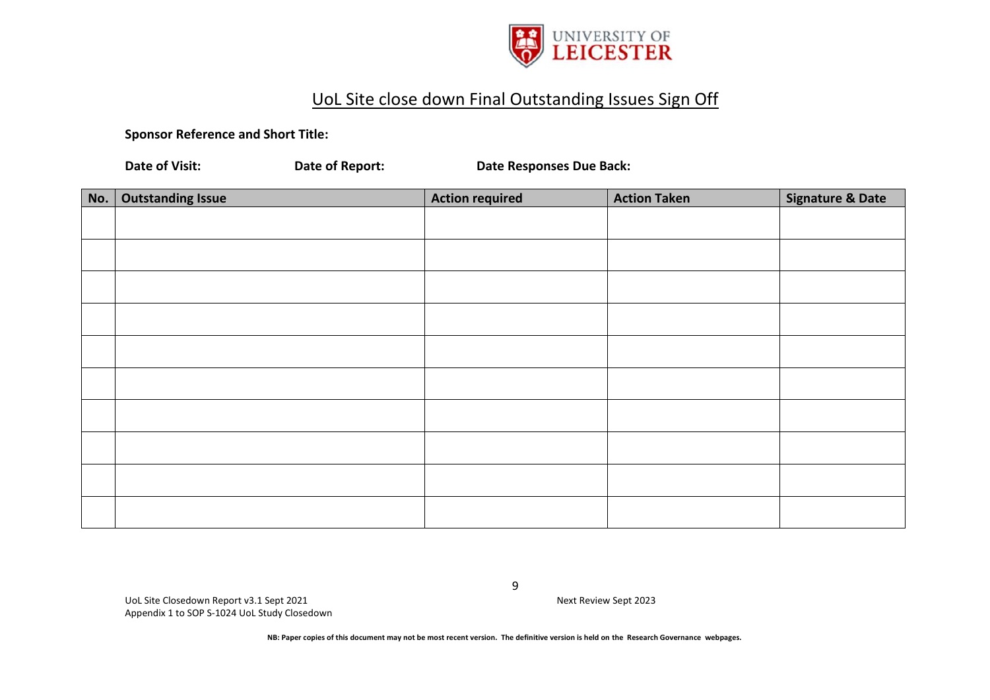

# UoL Site close down Final Outstanding Issues Sign Off

**Sponsor Reference and Short Title:** 

**Date of Visit: Date of Report: Date Responses Due Back:**

| No. | <b>Outstanding Issue</b> | <b>Action required</b> | <b>Action Taken</b> | <b>Signature &amp; Date</b> |
|-----|--------------------------|------------------------|---------------------|-----------------------------|
|     |                          |                        |                     |                             |
|     |                          |                        |                     |                             |
|     |                          |                        |                     |                             |
|     |                          |                        |                     |                             |
|     |                          |                        |                     |                             |
|     |                          |                        |                     |                             |
|     |                          |                        |                     |                             |
|     |                          |                        |                     |                             |
|     |                          |                        |                     |                             |
|     |                          |                        |                     |                             |

UoL Site Closedown Report v3.1 Sept 2021 Next Review Sept 2023 Appendix 1 to SOP S-1024 UoL Study Closedown

9